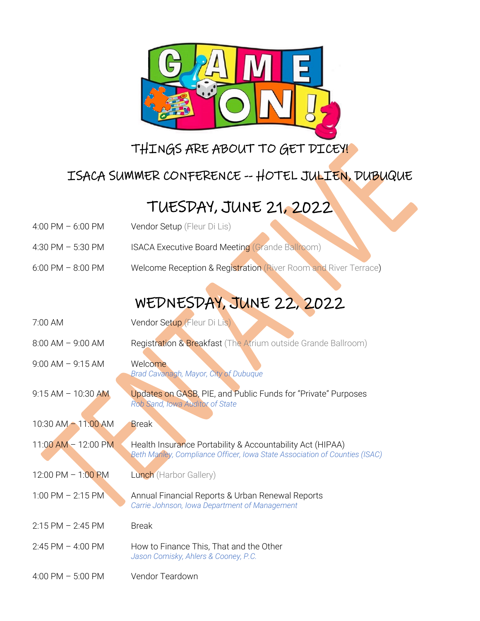

### THINGS ARE ABOUT TO GET DICEY!

#### ISACA SUMMER CONFERENCE -- HOTEL JULIEN, DUBUQUE

## TUESDAY, JUNE 21, 2022

- 4:00 PM 6:00 PM Vendor Setup (Fleur Di Lis)
- 4:30 PM 5:30 PM ISACA Executive Board Meeting (Grande Ballroom)
- 6:00 PM 8:00 PM Welcome Reception & Registration (River Room and River Terrace)

# WEDNESDAY, JUNE 22, 2022

| 7:00 AM                 | Vendor Setup (Fleur Di Lis)                                                                                                             |
|-------------------------|-----------------------------------------------------------------------------------------------------------------------------------------|
| $8:00$ AM $-$ 9:00 AM   | Registration & Breakfast (The Atrium outside Grande Ballroom)                                                                           |
| $9:00$ AM $-$ 9:15 AM   | Welcome<br>Brad Cavanagh, Mayor, City of Dubuque                                                                                        |
| $9:15 AM - 10:30 AM$    | <b>Updates on GASB, PIE, and Public Funds for "Private" Purposes</b><br>Rob Sand, Iowa Auditor of State                                 |
| $10:30$ AM $- 11:00$ AM | <b>Break</b>                                                                                                                            |
| $11:00$ AM $- 12:00$ PM | Health Insurance Portability & Accountability Act (HIPAA)<br>Beth Manley, Compliance Officer, Iowa State Association of Counties (ISAC) |
| 12:00 PM - 1:00 PM      | Lunch (Harbor Gallery)                                                                                                                  |
| $1:00$ PM $- 2:15$ PM   | Annual Financial Reports & Urban Renewal Reports<br>Carrie Johnson, Iowa Department of Management                                       |
| $2:15$ PM $-2:45$ PM    | <b>Break</b>                                                                                                                            |
| $2:45$ PM $-$ 4:00 PM   | How to Finance This, That and the Other<br>Jason Comisky, Ahlers & Cooney, P.C.                                                         |
| 4:00 PM $-$ 5:00 PM     | Vendor Teardown                                                                                                                         |